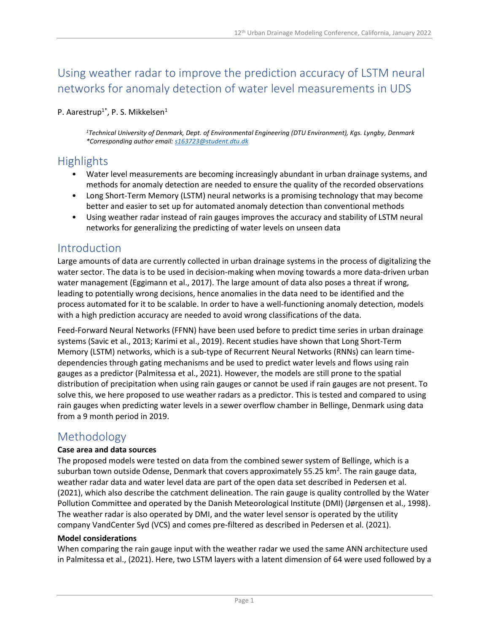# Using weather radar to improve the prediction accuracy of LSTM neural networks for anomaly detection of water level measurements in UDS

#### P. Aarestrup<sup>1\*</sup>, P. S. Mikkelsen<sup>1</sup>

*<sup>1</sup>Technical University of Denmark, Dept. of Environmental Engineering (DTU Environment), Kgs. Lyngby, Denmark \*Corresponding author email: [s163723@student.dtu.dk](mailto:s163723@student.dtu.dk)*

# **Highlights**

- Water level measurements are becoming increasingly abundant in urban drainage systems, and methods for anomaly detection are needed to ensure the quality of the recorded observations
- Long Short-Term Memory (LSTM) neural networks is a promising technology that may become better and easier to set up for automated anomaly detection than conventional methods
- Using weather radar instead of rain gauges improves the accuracy and stability of LSTM neural networks for generalizing the predicting of water levels on unseen data

## Introduction

Large amounts of data are currently collected in urban drainage systems in the process of digitalizing the water sector. The data is to be used in decision-making when moving towards a more data-driven urban water management (Eggimann et al., 2017). The large amount of data also poses a threat if wrong, leading to potentially wrong decisions, hence anomalies in the data need to be identified and the process automated for it to be scalable. In order to have a well-functioning anomaly detection, models with a high prediction accuracy are needed to avoid wrong classifications of the data.

Feed-Forward Neural Networks (FFNN) have been used before to predict time series in urban drainage systems (Savic et al., 2013; Karimi et al., 2019). Recent studies have shown that Long Short-Term Memory (LSTM) networks, which is a sub-type of Recurrent Neural Networks (RNNs) can learn timedependencies through gating mechanisms and be used to predict water levels and flows using rain gauges as a predictor (Palmitessa et al., 2021). However, the models are still prone to the spatial distribution of precipitation when using rain gauges or cannot be used if rain gauges are not present. To solve this, we here proposed to use weather radars as a predictor. This is tested and compared to using rain gauges when predicting water levels in a sewer overflow chamber in Bellinge, Denmark using data from a 9 month period in 2019.

## Methodology

#### **Case area and data sources**

The proposed models were tested on data from the combined sewer system of Bellinge, which is a suburban town outside Odense, Denmark that covers approximately 55.25 km<sup>2</sup>. The rain gauge data, weather radar data and water level data are part of the open data set described in Pedersen et al. (2021), which also describe the catchment delineation. The rain gauge is quality controlled by the Water Pollution Committee and operated by the Danish Meteorological Institute (DMI) (Jørgensen et al., 1998). The weather radar is also operated by DMI, and the water level sensor is operated by the utility company VandCenter Syd (VCS) and comes pre-filtered as described in Pedersen et al. (2021).

#### **Model considerations**

When comparing the rain gauge input with the weather radar we used the same ANN architecture used in Palmitessa et al., (2021). Here, two LSTM layers with a latent dimension of 64 were used followed by a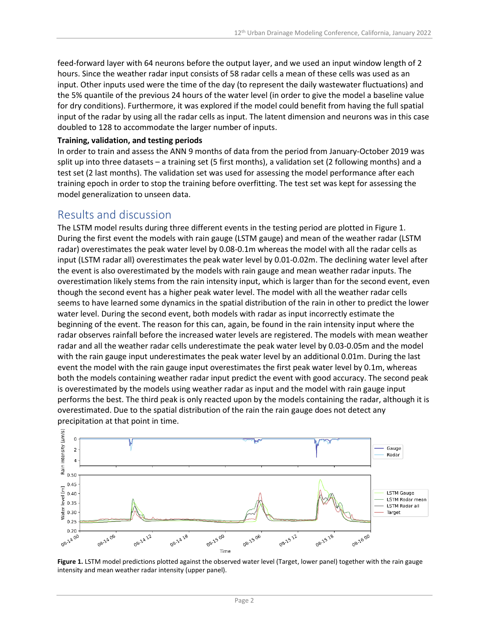feed-forward layer with 64 neurons before the output layer, and we used an input window length of 2 hours. Since the weather radar input consists of 58 radar cells a mean of these cells was used as an input. Other inputs used were the time of the day (to represent the daily wastewater fluctuations) and the 5% quantile of the previous 24 hours of the water level (in order to give the model a baseline value for dry conditions). Furthermore, it was explored if the model could benefit from having the full spatial input of the radar by using all the radar cells as input. The latent dimension and neurons was in this case doubled to 128 to accommodate the larger number of inputs.

#### **Training, validation, and testing periods**

In order to train and assess the ANN 9 months of data from the period from January-October 2019 was split up into three datasets – a training set (5 first months), a validation set (2 following months) and a test set (2 last months). The validation set was used for assessing the model performance after each training epoch in order to stop the training before overfitting. The test set was kept for assessing the model generalization to unseen data.

### Results and discussion

The LSTM model results during three different events in the testing period are plotted in Figure 1. During the first event the models with rain gauge (LSTM gauge) and mean of the weather radar (LSTM radar) overestimates the peak water level by 0.08-0.1m whereas the model with all the radar cells as input (LSTM radar all) overestimates the peak water level by 0.01-0.02m. The declining water level after the event is also overestimated by the models with rain gauge and mean weather radar inputs. The overestimation likely stems from the rain intensity input, which is larger than for the second event, even though the second event has a higher peak water level. The model with all the weather radar cells seems to have learned some dynamics in the spatial distribution of the rain in other to predict the lower water level. During the second event, both models with radar as input incorrectly estimate the beginning of the event. The reason for this can, again, be found in the rain intensity input where the radar observes rainfall before the increased water levels are registered. The models with mean weather radar and all the weather radar cells underestimate the peak water level by 0.03-0.05m and the model with the rain gauge input underestimates the peak water level by an additional 0.01m. During the last event the model with the rain gauge input overestimates the first peak water level by 0.1m, whereas both the models containing weather radar input predict the event with good accuracy. The second peak is overestimated by the models using weather radar as input and the model with rain gauge input performs the best. The third peak is only reacted upon by the models containing the radar, although it is overestimated. Due to the spatial distribution of the rain the rain gauge does not detect any precipitation at that point in time.



**Figure 1.** LSTM model predictions plotted against the observed water level (Target, lower panel) together with the rain gauge intensity and mean weather radar intensity (upper panel).